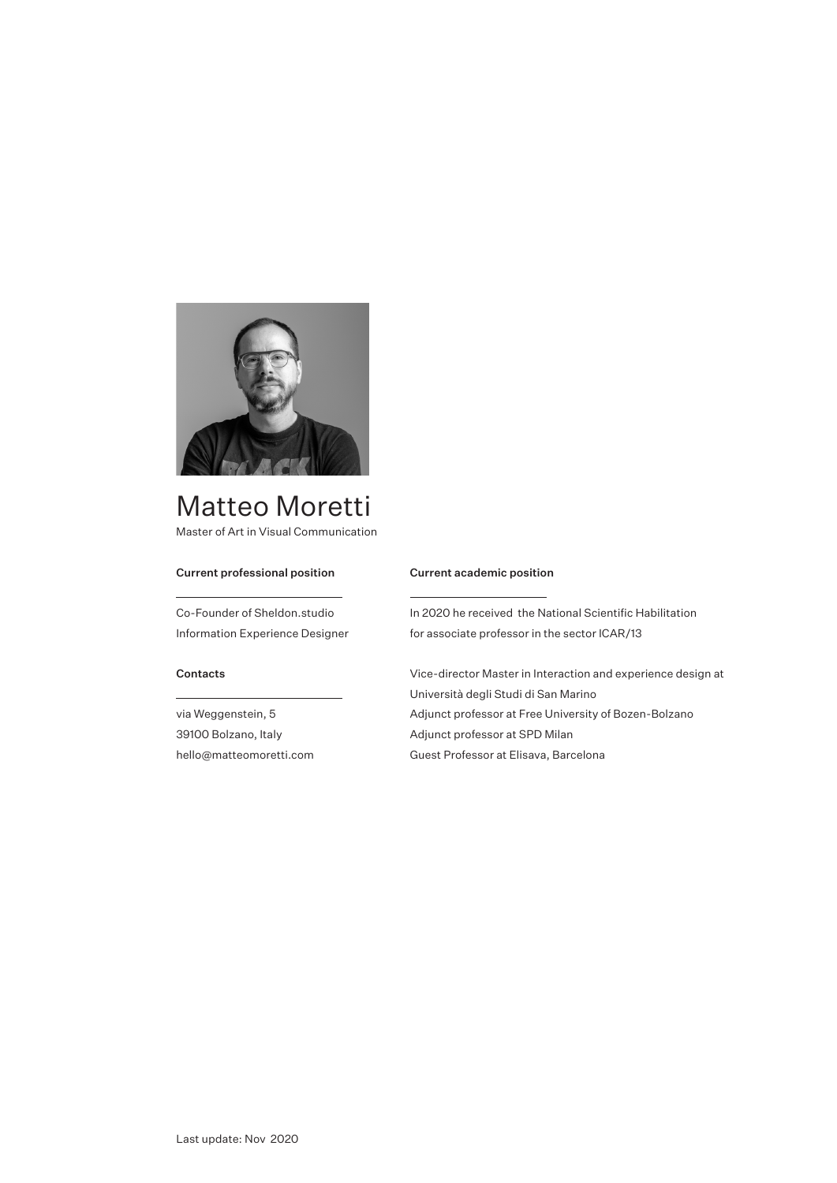

# Matteo Moretti Master of Art in Visual Communication

## Current professional position

Co-Founder of Sheldon.studio Information Experience Designer

## Contacts

via Weggenstein, 5 39100 Bolzano, Italy hello@matteomoretti.com

#### Current academic position

In 2020 he received the National Scientific Habilitation for associate professor in the sector ICAR/13

Vice-director Master in Interaction and experience design at Università degli Studi di San Marino Adjunct professor at Free University of Bozen-Bolzano Adjunct professor at SPD Milan Guest Professor at Elisava, Barcelona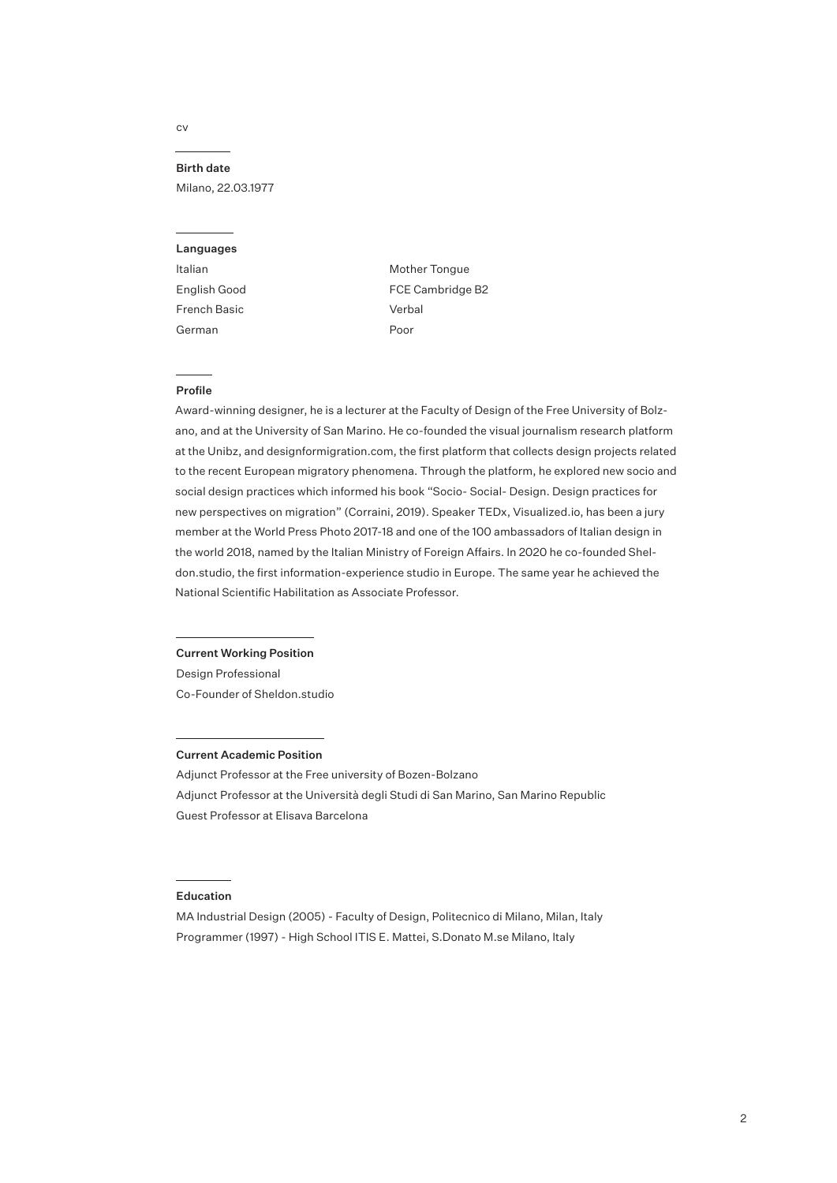## cv

### Birth date

Milano, 22.03.1977

#### Languages

ltalian English Good French Basic German

Mother Tongue FCE Cambridge B2 Verbal Poor

## Profile

Award-winning designer, he is a lecturer at the Faculty of Design of the Free University of Bolzano, and at the University of San Marino. He co-founded the visual journalism research platform at the Unibz, and designformigration.com, the first platform that collects design projects related to the recent European migratory phenomena. Through the platform, he explored new socio and social design practices which informed his book "Socio- Social- Design. Design practices for new perspectives on migration" (Corraini, 2019). Speaker TEDx, Visualized.io, has been a jury member at the World Press Photo 2017-18 and one of the 100 ambassadors of Italian design in the world 2018, named by the Italian Ministry of Foreign Affairs. In 2020 he co-founded Sheldon.studio, the first information-experience studio in Europe. The same year he achieved the National Scientific Habilitation as Associate Professor.

#### Current Working Position

Design Professional Co-Founder of Sheldon.studio

#### Current Academic Position

Adjunct Professor at the Free university of Bozen-Bolzano Adjunct Professor at the Università degli Studi di San Marino, San Marino Republic Guest Professor at Elisava Barcelona

#### Education

MA Industrial Design (2005) - Faculty of Design, Politecnico di Milano, Milan, Italy Programmer (1997) - High School ITIS E. Mattei, S.Donato M.se Milano, Italy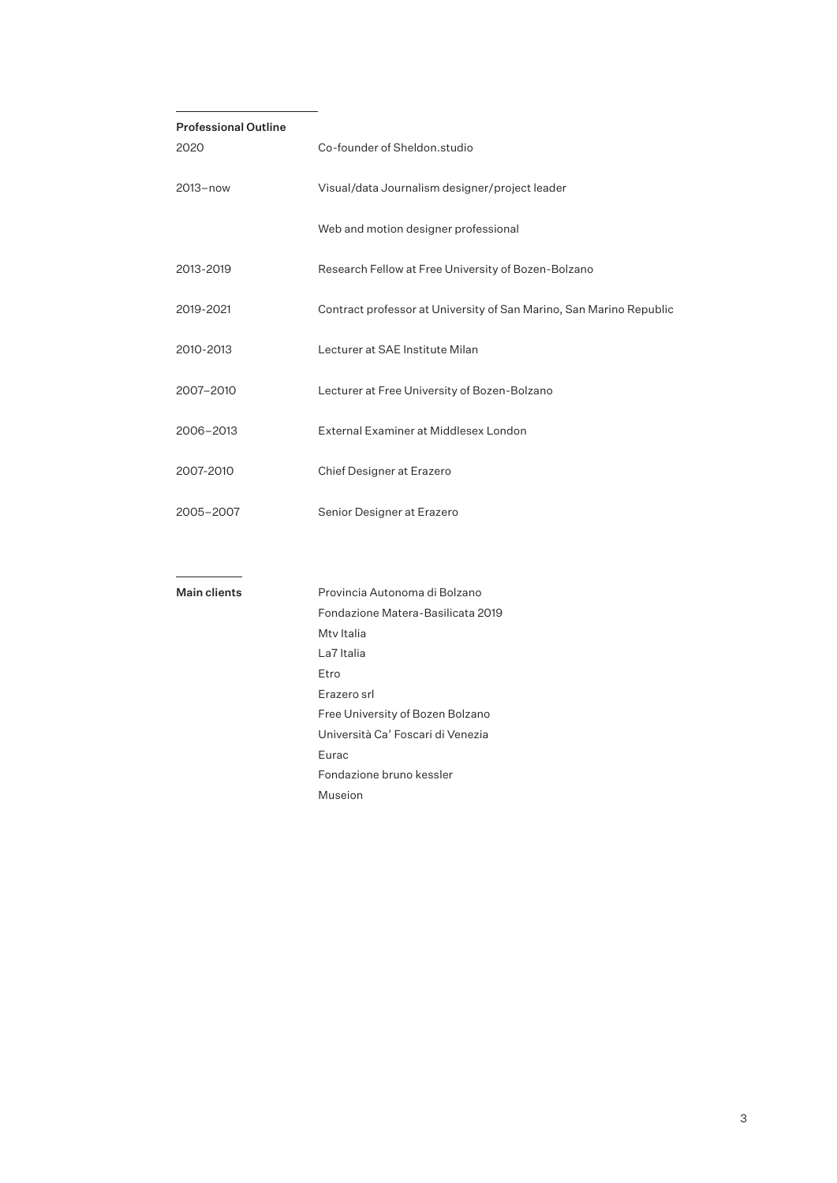| <b>Professional Outline</b> |                                                                     |  |  |
|-----------------------------|---------------------------------------------------------------------|--|--|
| 2020                        | Co-founder of Sheldon.studio                                        |  |  |
| 2013-now                    | Visual/data Journalism designer/project leader                      |  |  |
|                             | Web and motion designer professional                                |  |  |
| 2013-2019                   | Research Fellow at Free University of Bozen-Bolzano                 |  |  |
| 2019-2021                   | Contract professor at University of San Marino, San Marino Republic |  |  |
| 2010-2013                   | Lecturer at SAE Institute Milan                                     |  |  |
| 2007-2010                   | Lecturer at Free University of Bozen-Bolzano                        |  |  |
| 2006-2013                   | External Examiner at Middlesex London                               |  |  |
| 2007-2010                   | Chief Designer at Erazero                                           |  |  |
| 2005-2007                   | Senior Designer at Erazero                                          |  |  |
|                             |                                                                     |  |  |
| Main clients                | Provincia Autonoma di Bolzano                                       |  |  |
|                             | Fondazione Matera-Basilicata 2019                                   |  |  |
|                             | Mty Italia                                                          |  |  |
|                             | La7 Italia                                                          |  |  |
|                             | Etro                                                                |  |  |
|                             | Erazero srl                                                         |  |  |
|                             | Free University of Bozen Bolzano                                    |  |  |
|                             | Università Ca' Foscari di Venezia                                   |  |  |
|                             | Eurac                                                               |  |  |
|                             | Fondazione bruno kessler                                            |  |  |
|                             | Museion                                                             |  |  |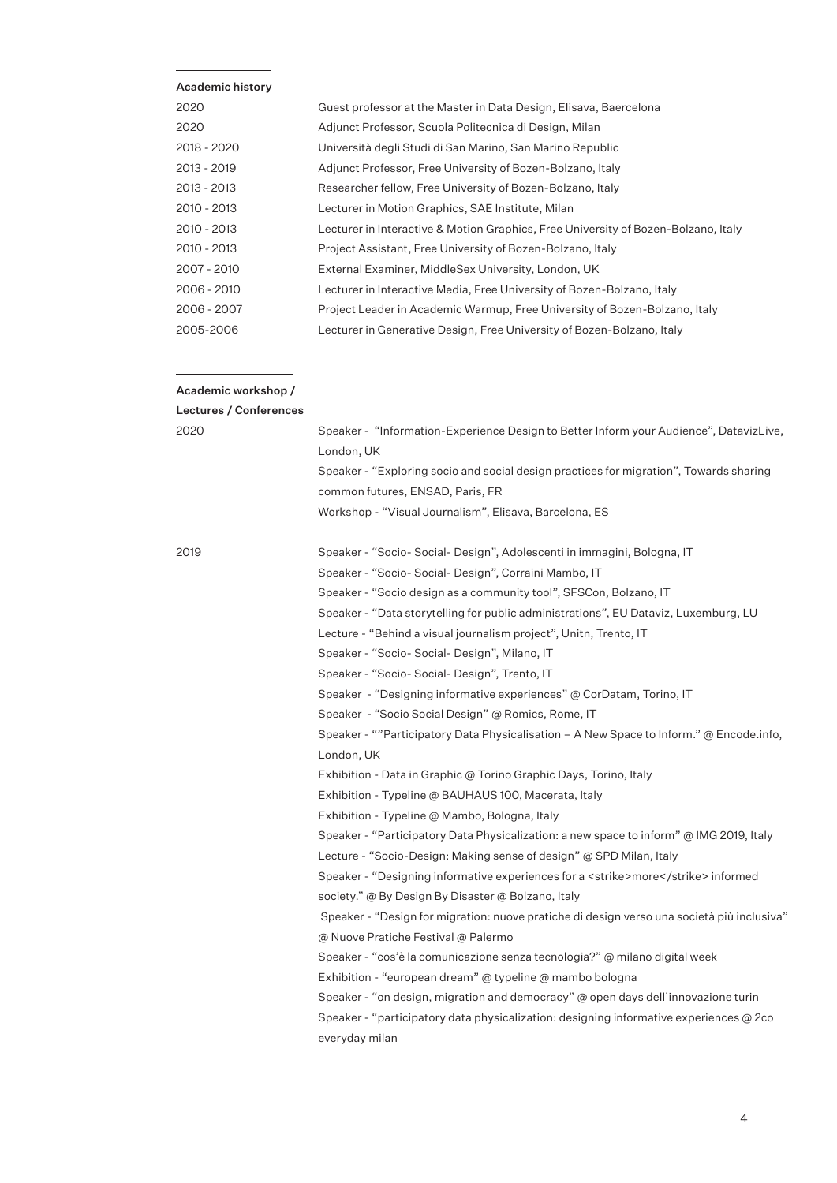# Academic history

| 2020        | Guest professor at the Master in Data Design, Elisava, Baercelona                  |
|-------------|------------------------------------------------------------------------------------|
| 2020        | Adjunct Professor, Scuola Politecnica di Design, Milan                             |
| 2018 - 2020 | Università degli Studi di San Marino, San Marino Republic                          |
| 2013 - 2019 | Adjunct Professor, Free University of Bozen-Bolzano, Italy                         |
| 2013 - 2013 | Researcher fellow, Free University of Bozen-Bolzano, Italy                         |
| 2010 - 2013 | Lecturer in Motion Graphics, SAE Institute, Milan                                  |
| 2010 - 2013 | Lecturer in Interactive & Motion Graphics, Free University of Bozen-Bolzano, Italy |
| 2010 - 2013 | Project Assistant, Free University of Bozen-Bolzano, Italy                         |
| 2007 - 2010 | External Examiner, MiddleSex University, London, UK                                |
| 2006 - 2010 | Lecturer in Interactive Media, Free University of Bozen-Bolzano, Italy             |
| 2006 - 2007 | Project Leader in Academic Warmup, Free University of Bozen-Bolzano, Italy         |
| 2005-2006   | Lecturer in Generative Design, Free University of Bozen-Bolzano, Italy             |

# Academic workshop /

| Lectures / Conferences |                                                                                            |
|------------------------|--------------------------------------------------------------------------------------------|
| 2020                   | Speaker - "Information-Experience Design to Better Inform your Audience", DatavizLive,     |
|                        | London, UK                                                                                 |
|                        | Speaker - "Exploring socio and social design practices for migration", Towards sharing     |
|                        | common futures, ENSAD, Paris, FR                                                           |
|                        | Workshop - "Visual Journalism", Elisava, Barcelona, ES                                     |
|                        |                                                                                            |
| 2019                   | Speaker - "Socio- Social- Design", Adolescenti in immagini, Bologna, IT                    |
|                        | Speaker - "Socio- Social- Design", Corraini Mambo, IT                                      |
|                        | Speaker - "Socio design as a community tool", SFSCon, Bolzano, IT                          |
|                        | Speaker - "Data storytelling for public administrations", EU Dataviz, Luxemburg, LU        |
|                        | Lecture - "Behind a visual journalism project", Unitn, Trento, IT                          |
|                        | Speaker - "Socio- Social- Design", Milano, IT                                              |
|                        | Speaker - "Socio- Social- Design", Trento, IT                                              |
|                        | Speaker - "Designing informative experiences" @ CorDatam, Torino, IT                       |
|                        | Speaker - "Socio Social Design" @ Romics, Rome, IT                                         |
|                        | Speaker - ""Participatory Data Physicalisation - A New Space to Inform." @ Encode.info,    |
|                        | London, UK                                                                                 |
|                        | Exhibition - Data in Graphic @ Torino Graphic Days, Torino, Italy                          |
|                        | Exhibition - Typeline @ BAUHAUS 100, Macerata, Italy                                       |
|                        | Exhibition - Typeline @ Mambo, Bologna, Italy                                              |
|                        | Speaker - "Participatory Data Physicalization: a new space to inform" @ IMG 2019, Italy    |
|                        | Lecture - "Socio-Design: Making sense of design" @ SPD Milan, Italy                        |
|                        | Speaker - "Designing informative experiences for a <strike>more</strike> informed          |
|                        | society." @ By Design By Disaster @ Bolzano, Italy                                         |
|                        | Speaker - "Design for migration: nuove pratiche di design verso una società più inclusiva" |
|                        | @ Nuove Pratiche Festival @ Palermo                                                        |
|                        | Speaker - "cos'è la comunicazione senza tecnologia?" @ milano digital week                 |
|                        | Exhibition - "european dream" @ typeline @ mambo bologna                                   |
|                        | Speaker - "on design, migration and democracy" $\omega$ open days dell'innovazione turin   |
|                        | Speaker - "participatory data physicalization: designing informative experiences $@$ 2co   |
|                        | everyday milan                                                                             |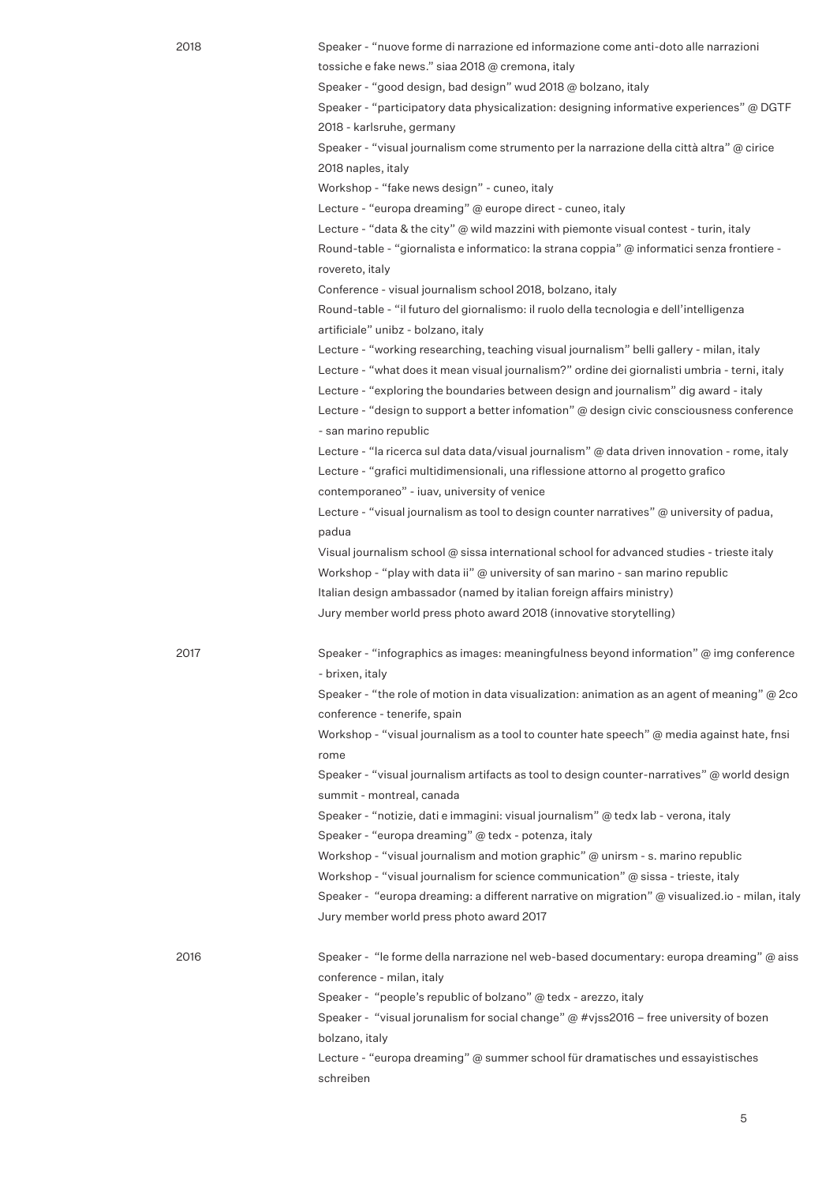Speaker - "nuove forme di narrazione ed informazione come anti-doto alle narrazioni tossiche e fake news." siaa 2018 @ cremona, italy

Speaker - "good design, bad design" wud 2018 @ bolzano, italy

Speaker - "participatory data physicalization: designing informative experiences" @ DGTF 2018 - karlsruhe, germany

Speaker - "visual journalism come strumento per la narrazione della città altra" @ cirice 2018 naples, italy

Workshop - "fake news design" - cuneo, italy

Lecture - "europa dreaming" @ europe direct - cuneo, italy

Lecture - "data & the city" @ wild mazzini with piemonte visual contest - turin, italy Round-table - "giornalista e informatico: la strana coppia" @ informatici senza frontiere rovereto, italy

Conference - visual journalism school 2018, bolzano, italy

Round-table - "il futuro del giornalismo: il ruolo della tecnologia e dell'intelligenza artificiale" unibz - bolzano, italy

Lecture - "working researching, teaching visual journalism" belli gallery - milan, italy Lecture - "what does it mean visual journalism?" ordine dei giornalisti umbria - terni, italy Lecture - "exploring the boundaries between design and journalism" dig award - italy Lecture - "design to support a better infomation" @ design civic consciousness conference

- san marino republic

schreiben

Lecture - "la ricerca sul data data/visual journalism" @ data driven innovation - rome, italy Lecture - "grafici multidimensionali, una riflessione attorno al progetto grafico

contemporaneo" - iuav, university of venice

Lecture - "visual journalism as tool to design counter narratives" @ university of padua, padua

Visual journalism school @ sissa international school for advanced studies - trieste italy Workshop - "play with data ii" @ university of san marino - san marino republic Italian design ambassador (named by italian foreign affairs ministry) Jury member world press photo award 2018 (innovative storytelling)

2017

Speaker - "infographics as images: meaningfulness beyond information" @ img conference - brixen, italy

Speaker - "the role of motion in data visualization: animation as an agent of meaning" @ 2co conference - tenerife, spain

Workshop - "visual journalism as a tool to counter hate speech" @ media against hate, fnsi rome

Speaker - "visual journalism artifacts as tool to design counter-narratives" @ world design summit - montreal, canada

Speaker - "notizie, dati e immagini: visual journalism" @ tedx lab - verona, italy Speaker - "europa dreaming" @ tedx - potenza, italy

Workshop - "visual journalism and motion graphic" @ unirsm - s. marino republic

Workshop - "visual journalism for science communication" @ sissa - trieste, italy

Speaker - "europa dreaming: a different narrative on migration" @ visualized.io - milan, italy Jury member world press photo award 2017

2016 Speaker - "le forme della narrazione nel web-based documentary: europa dreaming" @ aiss conference - milan, italy Speaker - "people's republic of bolzano" @ tedx - arezzo, italy Speaker - "visual jorunalism for social change" @ #vjss2016 – free university of bozen bolzano, italy Lecture - "europa dreaming" @ summer school für dramatisches und essayistisches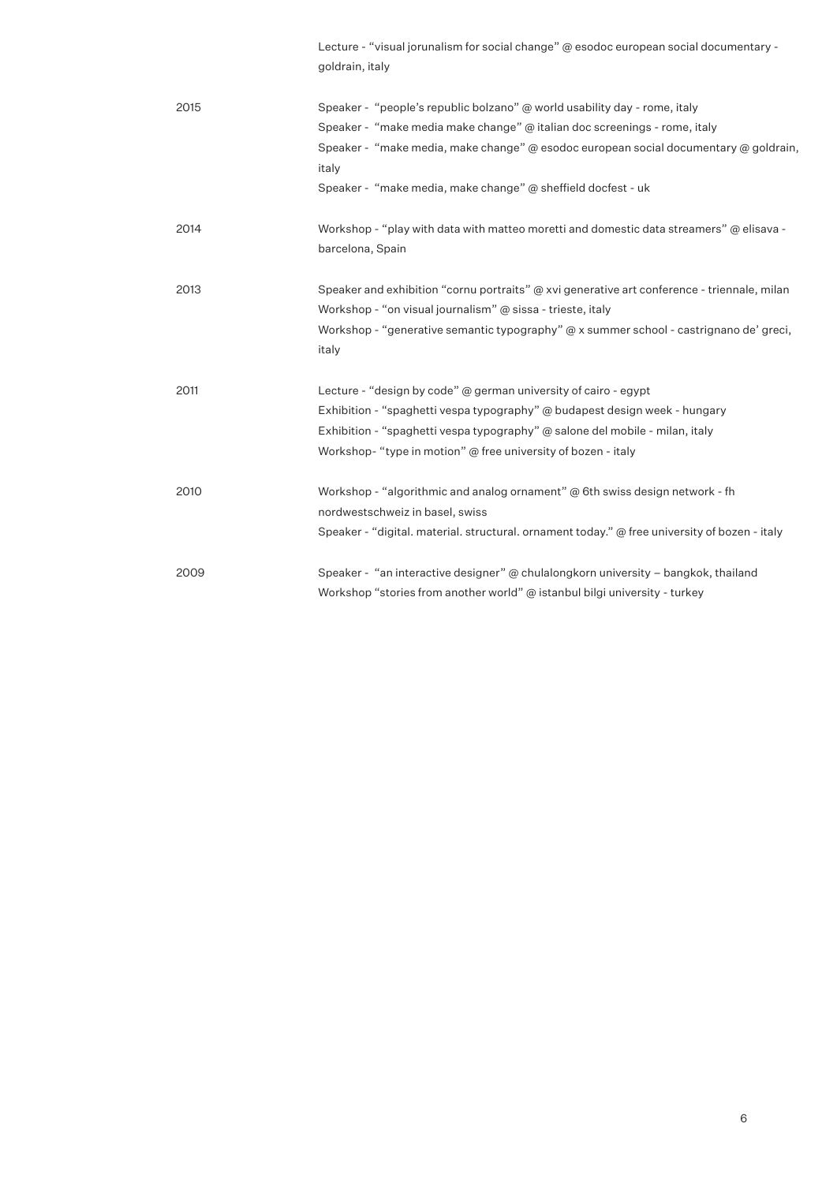|      | Lecture - "visual jorunalism for social change" @ esodoc european social documentary -<br>goldrain, italy   |
|------|-------------------------------------------------------------------------------------------------------------|
| 2015 | Speaker - "people's republic bolzano" @ world usability day - rome, italy                                   |
|      | Speaker - "make media make change" $\omega$ italian doc screenings - rome, italy                            |
|      | Speaker - "make media, make change" @ esodoc european social documentary @ goldrain,                        |
|      | italy                                                                                                       |
|      | Speaker - "make media, make change" @ sheffield docfest - uk                                                |
| 2014 | Workshop - "play with data with matteo moretti and domestic data streamers" @ elisava -<br>barcelona, Spain |
| 2013 | Speaker and exhibition "cornu portraits" $\omega$ xvi generative art conference - triennale, milan          |
|      | Workshop - "on visual journalism" @ sissa - trieste, italy                                                  |
|      | Workshop - "generative semantic typography" @ x summer school - castrignano de' greci,<br>italy             |
| 2011 | Lecture - "design by code" @ german university of cairo - egypt                                             |
|      | Exhibition - "spaghetti vespa typography" @ budapest design week - hungary                                  |
|      | Exhibition - "spaghetti vespa typography" @ salone del mobile - milan, italy                                |
|      | Workshop-"type in motion" $\omega$ free university of bozen - italy                                         |
| 2010 | Workshop - "algorithmic and analog ornament" @ 6th swiss design network - fh                                |
|      | nordwestschweiz in basel, swiss                                                                             |
|      | Speaker - "digital. material. structural. ornament today." @ free university of bozen - italy               |
| 2009 | Speaker - "an interactive designer" @ chulalongkorn university - bangkok, thailand                          |
|      | Workshop "stories from another world" @ istanbul bilgi university - turkey                                  |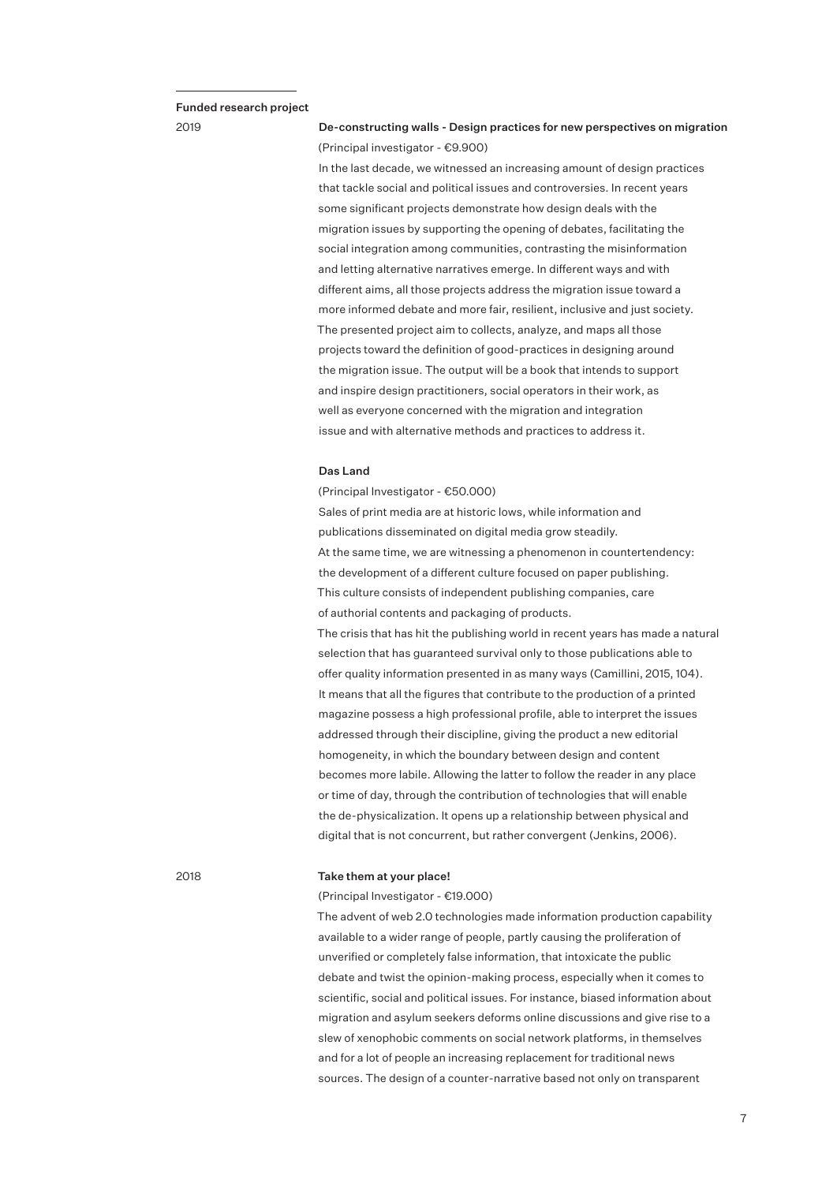#### Funded research project

2019

# De-constructing walls - Design practices for new perspectives on migration (Principal investigator - €9.900)

In the last decade, we witnessed an increasing amount of design practices that tackle social and political issues and controversies. In recent years some significant projects demonstrate how design deals with the migration issues by supporting the opening of debates, facilitating the social integration among communities, contrasting the misinformation and letting alternative narratives emerge. In different ways and with different aims, all those projects address the migration issue toward a more informed debate and more fair, resilient, inclusive and just society. The presented project aim to collects, analyze, and maps all those projects toward the definition of good-practices in designing around the migration issue. The output will be a book that intends to support and inspire design practitioners, social operators in their work, as well as everyone concerned with the migration and integration issue and with alternative methods and practices to address it.

#### Das Land

(Principal Investigator - €50.000) Sales of print media are at historic lows, while information and publications disseminated on digital media grow steadily. At the same time, we are witnessing a phenomenon in countertendency: the development of a different culture focused on paper publishing. This culture consists of independent publishing companies, care of authorial contents and packaging of products.

The crisis that has hit the publishing world in recent years has made a natural selection that has guaranteed survival only to those publications able to offer quality information presented in as many ways (Camillini, 2015, 104). It means that all the figures that contribute to the production of a printed magazine possess a high professional profile, able to interpret the issues addressed through their discipline, giving the product a new editorial homogeneity, in which the boundary between design and content becomes more labile. Allowing the latter to follow the reader in any place or time of day, through the contribution of technologies that will enable the de-physicalization. It opens up a relationship between physical and digital that is not concurrent, but rather convergent (Jenkins, 2006).

#### 2018

#### Take them at your place!

(Principal Investigator - €19.000)

The advent of web 2.0 technologies made information production capability available to a wider range of people, partly causing the proliferation of unverified or completely false information, that intoxicate the public debate and twist the opinion-making process, especially when it comes to scientific, social and political issues. For instance, biased information about migration and asylum seekers deforms online discussions and give rise to a slew of xenophobic comments on social network platforms, in themselves and for a lot of people an increasing replacement for traditional news sources. The design of a counter-narrative based not only on transparent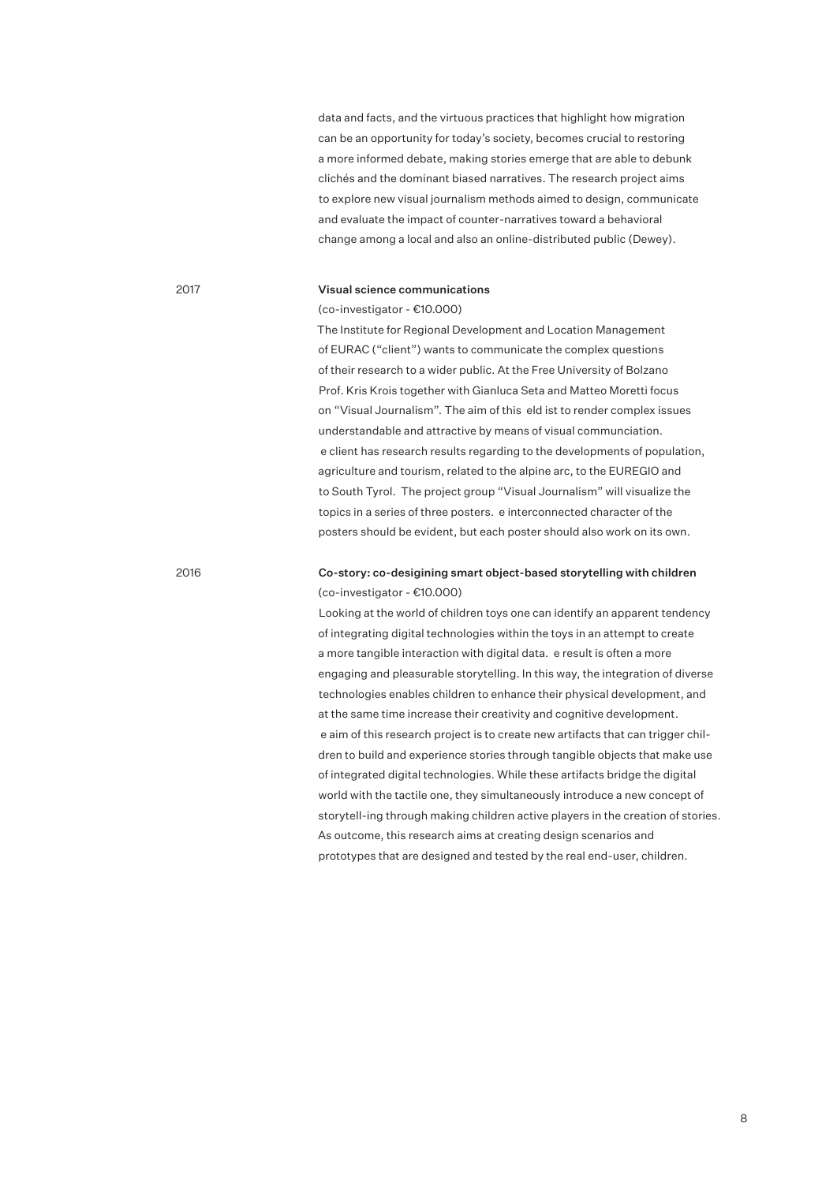data and facts, and the virtuous practices that highlight how migration can be an opportunity for today's society, becomes crucial to restoring a more informed debate, making stories emerge that are able to debunk clichés and the dominant biased narratives. The research project aims to explore new visual journalism methods aimed to design, communicate and evaluate the impact of counter-narratives toward a behavioral change among a local and also an online-distributed public (Dewey).

## 2017

#### Visual science communications

(co-investigator - €10.000)

The Institute for Regional Development and Location Management of EURAC ("client") wants to communicate the complex questions of their research to a wider public. At the Free University of Bolzano Prof. Kris Krois together with Gianluca Seta and Matteo Moretti focus on "Visual Journalism". The aim of this eld ist to render complex issues understandable and attractive by means of visual communciation. e client has research results regarding to the developments of population, agriculture and tourism, related to the alpine arc, to the EUREGIO and to South Tyrol. The project group "Visual Journalism" will visualize the topics in a series of three posters. e interconnected character of the posters should be evident, but each poster should also work on its own.

#### 2016

# Co-story: co-desigining smart object-based storytelling with children (co-investigator - €10.000)

Looking at the world of children toys one can identify an apparent tendency of integrating digital technologies within the toys in an attempt to create a more tangible interaction with digital data. e result is often a more engaging and pleasurable storytelling. In this way, the integration of diverse technologies enables children to enhance their physical development, and at the same time increase their creativity and cognitive development. e aim of this research project is to create new artifacts that can trigger children to build and experience stories through tangible objects that make use of integrated digital technologies. While these artifacts bridge the digital world with the tactile one, they simultaneously introduce a new concept of storytell-ing through making children active players in the creation of stories. As outcome, this research aims at creating design scenarios and prototypes that are designed and tested by the real end-user, children.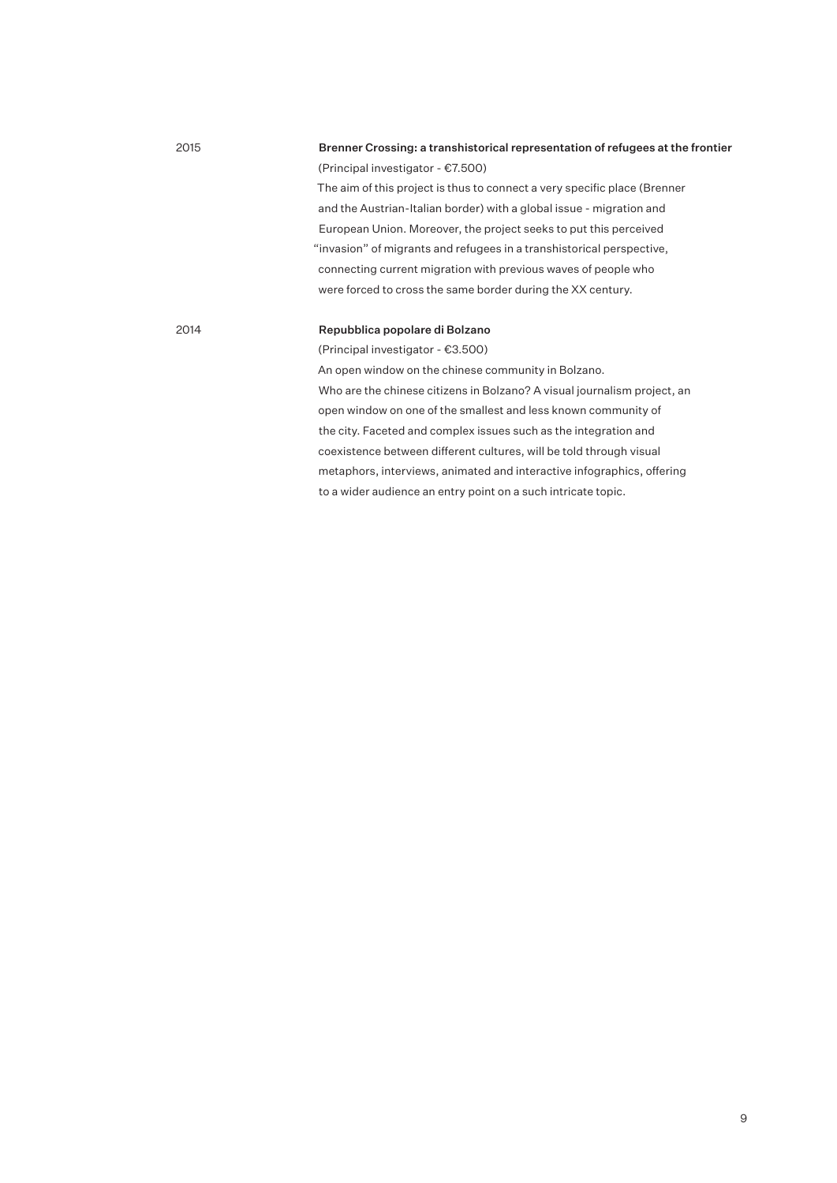| 2015 | Brenner Crossing: a transhistorical representation of refugees at the frontier |
|------|--------------------------------------------------------------------------------|
|      | (Principal investigator - €7.500)                                              |
|      | The aim of this project is thus to connect a very specific place (Brenner      |
|      | and the Austrian-Italian border) with a global issue - migration and           |
|      | European Union. Moreover, the project seeks to put this perceived              |
|      | "invasion" of migrants and refugees in a transhistorical perspective,          |
|      | connecting current migration with previous waves of people who                 |
|      | were forced to cross the same border during the XX century.                    |
|      |                                                                                |
| 2014 | Repubblica popolare di Bolzano                                                 |
|      | (Principal investigator - €3.500)                                              |
|      | An open window on the chinese community in Bolzano.                            |
|      | Who are the chinese citizens in Bolzano? A visual journalism project, an       |
|      | open window on one of the smallest and less known community of                 |
|      | the city. Faceted and complex issues such as the integration and               |
|      | coexistence between different cultures, will be told through visual            |

metaphors, interviews, animated and interactive infographics, offering

to a wider audience an entry point on a such intricate topic.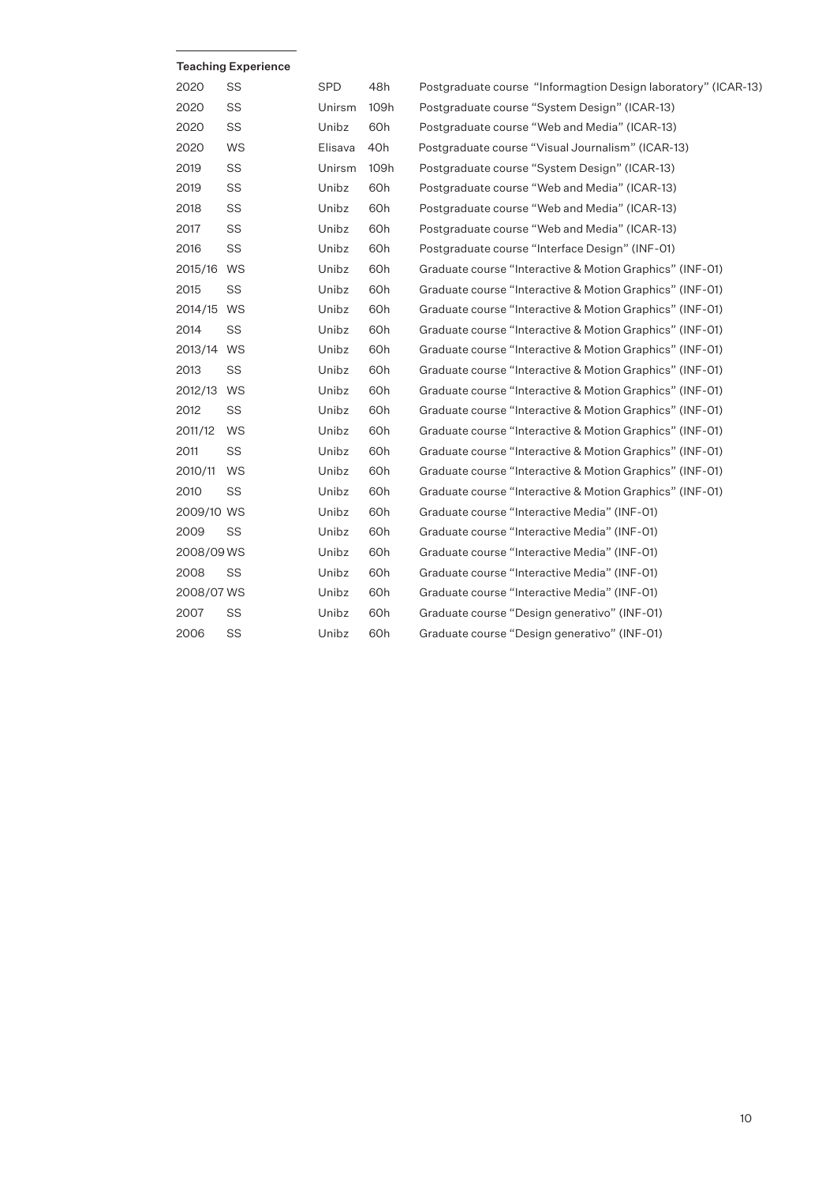|            | <b>Teaching Experience</b> |         |      |                                                                |
|------------|----------------------------|---------|------|----------------------------------------------------------------|
| 2020       | SS                         | SPD     | 48h  | Postgraduate course "Informagtion Design laboratory" (ICAR-13) |
| 2020       | SS                         | Unirsm  | 109h | Postgraduate course "System Design" (ICAR-13)                  |
| 2020       | SS                         | Unibz   | 60h  | Postgraduate course "Web and Media" (ICAR-13)                  |
| 2020       | WS                         | Elisava | 40h  | Postgraduate course "Visual Journalism" (ICAR-13)              |
| 2019       | SS                         | Unirsm  | 109h | Postgraduate course "System Design" (ICAR-13)                  |
| 2019       | SS                         | Unibz   | 60h  | Postgraduate course "Web and Media" (ICAR-13)                  |
| 2018       | SS                         | Unibz   | 60h  | Postgraduate course "Web and Media" (ICAR-13)                  |
| 2017       | SS                         | Unibz   | 60h  | Postgraduate course "Web and Media" (ICAR-13)                  |
| 2016       | SS                         | Unibz   | 60h  | Postgraduate course "Interface Design" (INF-01)                |
| 2015/16    | WS                         | Unibz   | 60h  | Graduate course "Interactive & Motion Graphics" (INF-01)       |
| 2015       | SS                         | Unibz   | 60h  | Graduate course "Interactive & Motion Graphics" (INF-01)       |
| 2014/15    | WS                         | Unibz   | 60h  | Graduate course "Interactive & Motion Graphics" (INF-01)       |
| 2014       | SS                         | Unibz   | 60h  | Graduate course "Interactive & Motion Graphics" (INF-01)       |
| 2013/14 WS |                            | Unibz   | 60h  | Graduate course "Interactive & Motion Graphics" (INF-01)       |
| 2013       | SS                         | Unibz   | 60h  | Graduate course "Interactive & Motion Graphics" (INF-01)       |
| 2012/13 WS |                            | Unibz   | 60h  | Graduate course "Interactive & Motion Graphics" (INF-01)       |
| 2012       | SS                         | Unibz   | 60h  | Graduate course "Interactive & Motion Graphics" (INF-01)       |
| 2011/12    | WS                         | Unibz   | 60h  | Graduate course "Interactive & Motion Graphics" (INF-01)       |
| 2011       | SS                         | Unibz   | 60h  | Graduate course "Interactive & Motion Graphics" (INF-01)       |
| 2010/11    | WS                         | Unibz   | 60h  | Graduate course "Interactive & Motion Graphics" (INF-01)       |
| 2010       | SS                         | Unibz   | 60h  | Graduate course "Interactive & Motion Graphics" (INF-01)       |
| 2009/10 WS |                            | Unibz   | 60h  | Graduate course "Interactive Media" (INF-01)                   |
| 2009       | SS                         | Unibz   | 60h  | Graduate course "Interactive Media" (INF-01)                   |
| 2008/09 WS |                            | Unibz   | 60h  | Graduate course "Interactive Media" (INF-01)                   |
| 2008       | SS                         | Unibz   | 60h  | Graduate course "Interactive Media" (INF-01)                   |
| 2008/07 WS |                            | Unibz   | 60h  | Graduate course "Interactive Media" (INF-01)                   |
| 2007       | SS                         | Unibz   | 60h  | Graduate course "Design generativo" (INF-01)                   |
| 2006       | SS                         | Unibz   | 60h  | Graduate course "Design generativo" (INF-01)                   |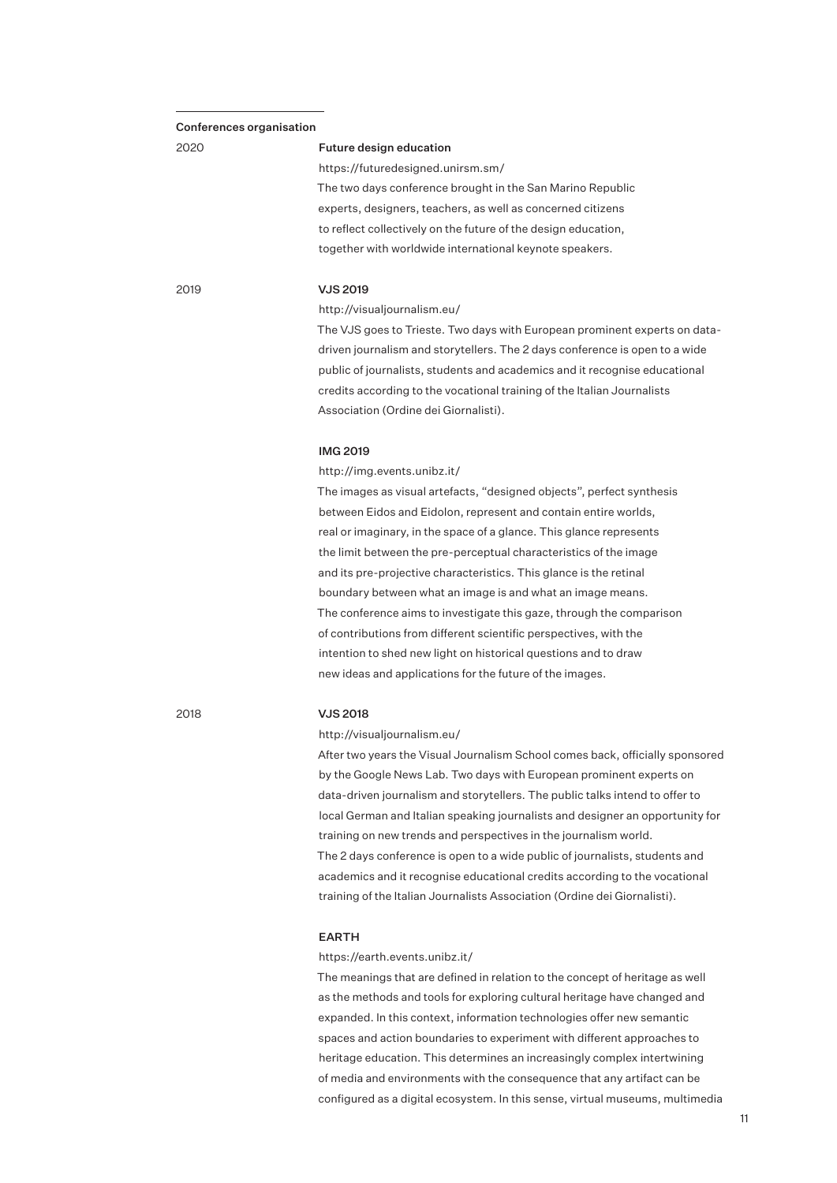#### Conferences organisation

# 2020

#### Future design education

https://futuredesigned.unirsm.sm/ The two days conference brought in the San Marino Republic experts, designers, teachers, as well as concerned citizens to reflect collectively on the future of the design education, together with worldwide international keynote speakers.

2019

## VJS 2019

http://visualjournalism.eu/

The VJS goes to Trieste. Two days with European prominent experts on datadriven journalism and storytellers. The 2 days conference is open to a wide public of journalists, students and academics and it recognise educational credits according to the vocational training of the Italian Journalists Association (Ordine dei Giornalisti).

## IMG 2019

http://img.events.unibz.it/

The images as visual artefacts, "designed objects", perfect synthesis between Eidos and Eidolon, represent and contain entire worlds, real or imaginary, in the space of a glance. This glance represents the limit between the pre-perceptual characteristics of the image and its pre-projective characteristics. This glance is the retinal boundary between what an image is and what an image means. The conference aims to investigate this gaze, through the comparison of contributions from different scientific perspectives, with the intention to shed new light on historical questions and to draw new ideas and applications for the future of the images.

2018

## VJS 2018

http://visualjournalism.eu/

After two years the Visual Journalism School comes back, officially sponsored by the Google News Lab. Two days with European prominent experts on data-driven journalism and storytellers. The public talks intend to offer to local German and Italian speaking journalists and designer an opportunity for training on new trends and perspectives in the journalism world. The 2 days conference is open to a wide public of journalists, students and academics and it recognise educational credits according to the vocational training of the Italian Journalists Association (Ordine dei Giornalisti).

## EARTH

https://earth.events.unibz.it/

The meanings that are defined in relation to the concept of heritage as well as the methods and tools for exploring cultural heritage have changed and expanded. In this context, information technologies offer new semantic spaces and action boundaries to experiment with different approaches to heritage education. This determines an increasingly complex intertwining of media and environments with the consequence that any artifact can be configured as a digital ecosystem. In this sense, virtual museums, multimedia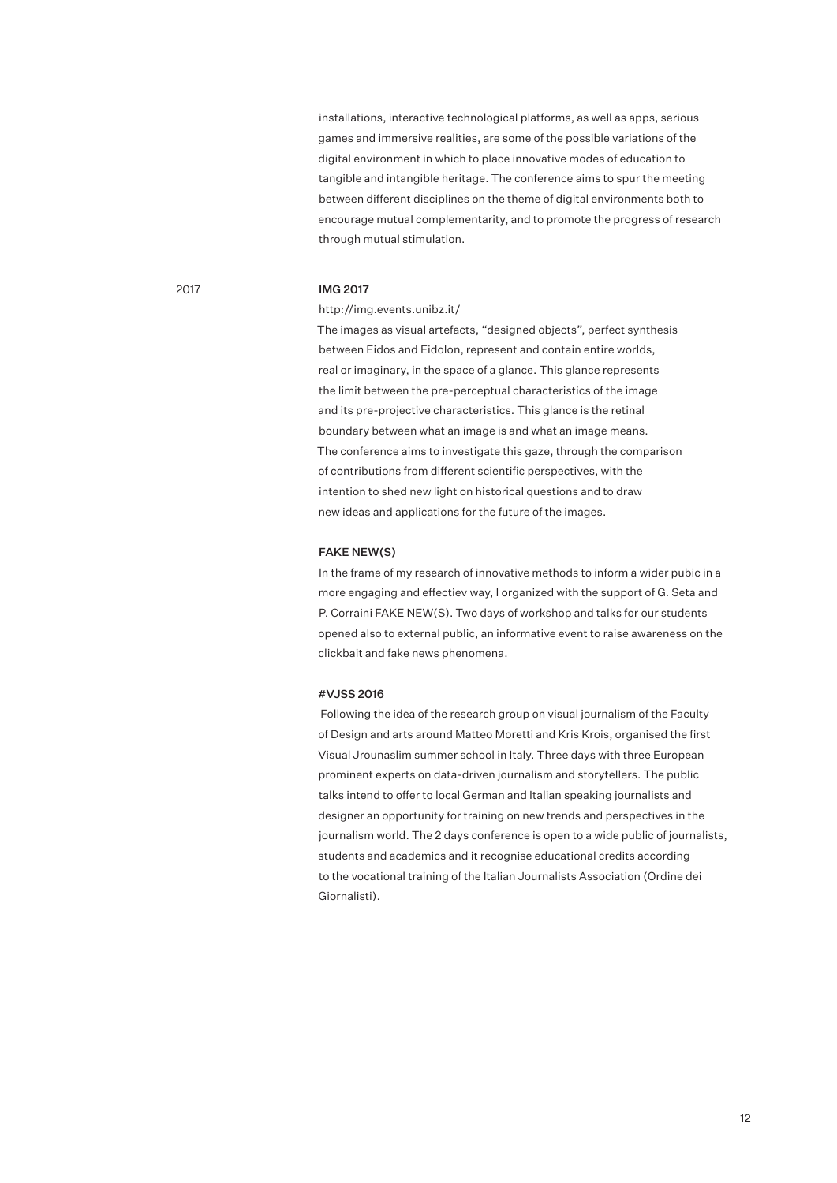installations, interactive technological platforms, as well as apps, serious games and immersive realities, are some of the possible variations of the digital environment in which to place innovative modes of education to tangible and intangible heritage. The conference aims to spur the meeting between different disciplines on the theme of digital environments both to encourage mutual complementarity, and to promote the progress of research through mutual stimulation.

## 2017

# IMG 2017

#### http://img.events.unibz.it/

The images as visual artefacts, "designed objects", perfect synthesis between Eidos and Eidolon, represent and contain entire worlds, real or imaginary, in the space of a glance. This glance represents the limit between the pre-perceptual characteristics of the image and its pre-projective characteristics. This glance is the retinal boundary between what an image is and what an image means. The conference aims to investigate this gaze, through the comparison of contributions from different scientific perspectives, with the intention to shed new light on historical questions and to draw new ideas and applications for the future of the images.

#### FAKE NEW(S)

In the frame of my research of innovative methods to inform a wider pubic in a more engaging and effectiev way, I organized with the support of G. Seta and P. Corraini FAKE NEW(S). Two days of workshop and talks for our students opened also to external public, an informative event to raise awareness on the clickbait and fake news phenomena.

#### #VJSS 2016

 Following the idea of the research group on visual journalism of the Faculty of Design and arts around Matteo Moretti and Kris Krois, organised the first Visual Jrounaslim summer school in Italy. Three days with three European prominent experts on data-driven journalism and storytellers. The public talks intend to offer to local German and Italian speaking journalists and designer an opportunity for training on new trends and perspectives in the journalism world. The 2 days conference is open to a wide public of journalists, students and academics and it recognise educational credits according to the vocational training of the Italian Journalists Association (Ordine dei Giornalisti).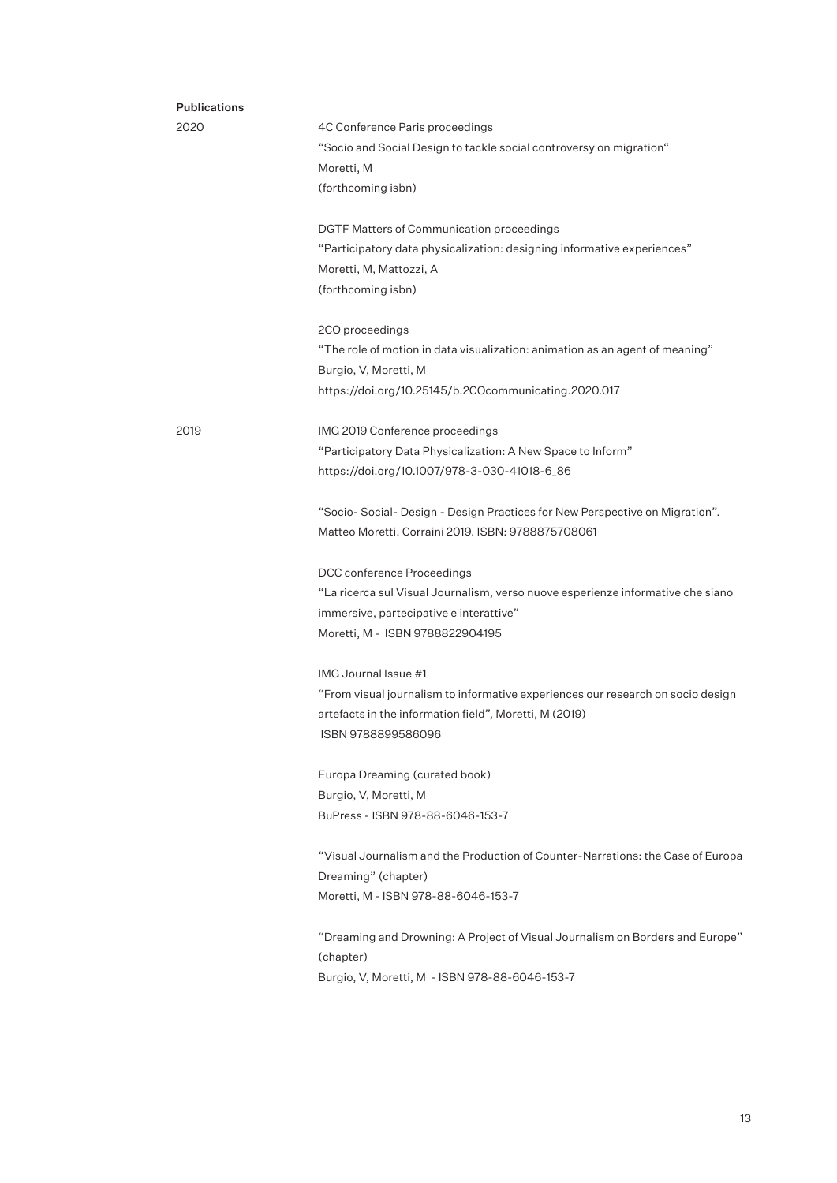| <b>Publications</b> |                                                                                 |
|---------------------|---------------------------------------------------------------------------------|
| 2020                | 4C Conference Paris proceedings                                                 |
|                     | "Socio and Social Design to tackle social controversy on migration"             |
|                     | Moretti, M                                                                      |
|                     | (forthcoming isbn)                                                              |
|                     | DGTF Matters of Communication proceedings                                       |
|                     | "Participatory data physicalization: designing informative experiences"         |
|                     | Moretti, M, Mattozzi, A                                                         |
|                     | (forthcoming isbn)                                                              |
|                     | 2CO proceedings                                                                 |
|                     | "The role of motion in data visualization: animation as an agent of meaning"    |
|                     | Burgio, V, Moretti, M                                                           |
|                     | https://doi.org/10.25145/b.2COcommunicating.2020.017                            |
| 2019                | IMG 2019 Conference proceedings                                                 |
|                     | "Participatory Data Physicalization: A New Space to Inform"                     |
|                     | https://doi.org/10.1007/978-3-030-41018-6_86                                    |
|                     | "Socio- Social- Design - Design Practices for New Perspective on Migration".    |
|                     | Matteo Moretti. Corraini 2019. ISBN: 9788875708061                              |
|                     | DCC conference Proceedings                                                      |
|                     | "La ricerca sul Visual Journalism, verso nuove esperienze informative che siano |
|                     | immersive, partecipative e interattive"                                         |
|                     | Moretti, M - ISBN 9788822904195                                                 |
|                     | IMG Journal Issue #1                                                            |
|                     | "From visual journalism to informative experiences our research on socio design |
|                     | artefacts in the information field", Moretti, M (2019)                          |
|                     | ISBN 9788899586096                                                              |
|                     | Europa Dreaming (curated book)                                                  |
|                     | Burgio, V, Moretti, M                                                           |
|                     | BuPress - ISBN 978-88-6046-153-7                                                |
|                     | "Visual Journalism and the Production of Counter-Narrations: the Case of Europa |
|                     | Dreaming" (chapter)                                                             |
|                     | Moretti, M - ISBN 978-88-6046-153-7                                             |
|                     | "Dreaming and Drowning: A Project of Visual Journalism on Borders and Europe"   |
|                     | (chapter)                                                                       |
|                     | Burgio, V, Moretti, M - ISBN 978-88-6046-153-7                                  |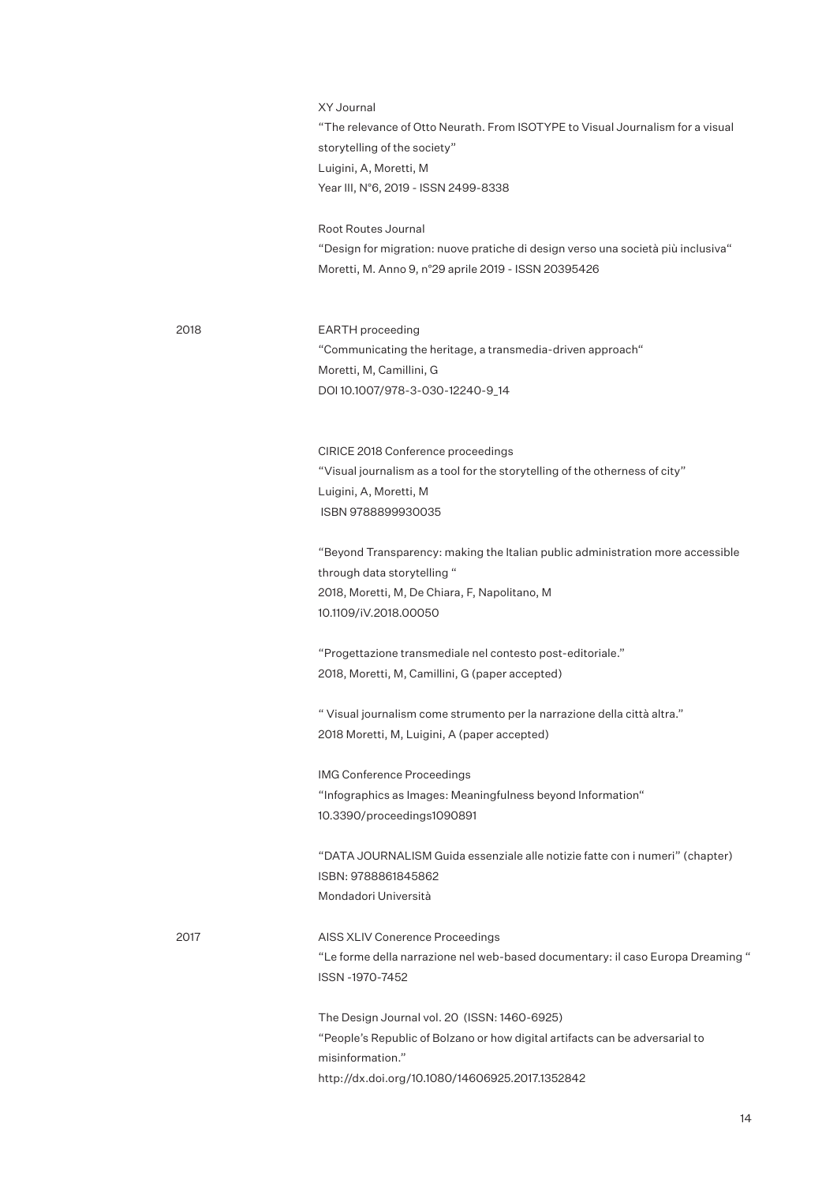XY Journal "The relevance of Otto Neurath. From ISOTYPE to Visual Journalism for a visual storytelling of the society" Luigini, A, Moretti, M Year III, N°6, 2019 - ISSN 2499-8338

Root Routes Journal "Design for migration: nuove pratiche di design verso una società più inclusiva" Moretti, M. Anno 9, n°29 aprile 2019 - ISSN 20395426

2018

EARTH proceeding "Communicating the heritage, a transmedia-driven approach" Moretti, M, Camillini, G DOI 10.1007/978-3-030-12240-9\_14

CIRICE 2018 Conference proceedings "Visual journalism as a tool for the storytelling of the otherness of city" Luigini, A, Moretti, M ISBN 9788899930035

"Beyond Transparency: making the Italian public administration more accessible through data storytelling " 2018, Moretti, M, De Chiara, F, Napolitano, M 10.1109/iV.2018.00050

"Progettazione transmediale nel contesto post-editoriale." 2018, Moretti, M, Camillini, G (paper accepted)

" Visual journalism come strumento per la narrazione della città altra." 2018 Moretti, M, Luigini, A (paper accepted)

IMG Conference Proceedings "Infographics as Images: Meaningfulness beyond Information" 10.3390/proceedings1090891

"DATA JOURNALISM Guida essenziale alle notizie fatte con i numeri" (chapter) ISBN: 9788861845862 Mondadori Università

2017

AISS XLIV Conerence Proceedings "Le forme della narrazione nel web-based documentary: il caso Europa Dreaming " ISSN -1970-7452

The Design Journal vol. 20 (ISSN: 1460-6925) "People's Republic of Bolzano or how digital artifacts can be adversarial to misinformation." http://dx.doi.org/10.1080/14606925.2017.1352842